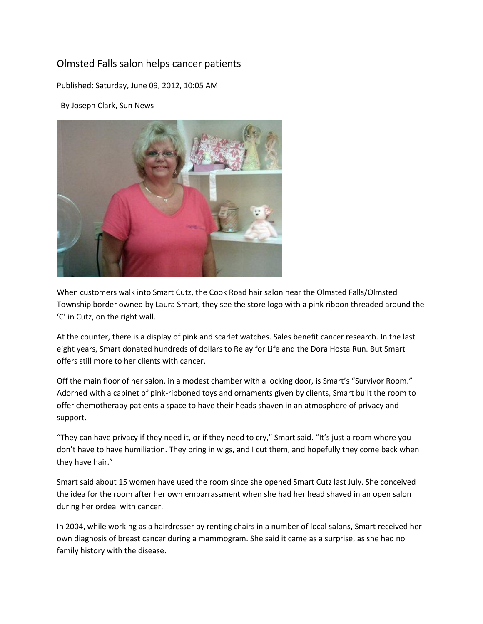## Olmsted Falls salon helps cancer patients

Published: Saturday, June 09, 2012, 10:05 AM

By Joseph Clark, Sun News



When customers walk into Smart Cutz, the Cook Road hair salon near the Olmsted Falls/Olmsted Township border owned by Laura Smart, they see the store logo with a pink ribbon threaded around the 'C' in Cutz, on the right wall.

At the counter, there is a display of pink and scarlet watches. Sales benefit cancer research. In the last eight years, Smart donated hundreds of dollars to Relay for Life and the Dora Hosta Run. But Smart offers still more to her clients with cancer.

Off the main floor of her salon, in a modest chamber with a locking door, is Smart's "Survivor Room." Adorned with a cabinet of pink-ribboned toys and ornaments given by clients, Smart built the room to offer chemotherapy patients a space to have their heads shaven in an atmosphere of privacy and support.

"They can have privacy if they need it, or if they need to cry," Smart said. "It's just a room where you don't have to have humiliation. They bring in wigs, and I cut them, and hopefully they come back when they have hair."

Smart said about 15 women have used the room since she opened Smart Cutz last July. She conceived the idea for the room after her own embarrassment when she had her head shaved in an open salon during her ordeal with cancer.

In 2004, while working as a hairdresser by renting chairs in a number of local salons, Smart received her own diagnosis of breast cancer during a mammogram. She said it came as a surprise, as she had no family history with the disease.